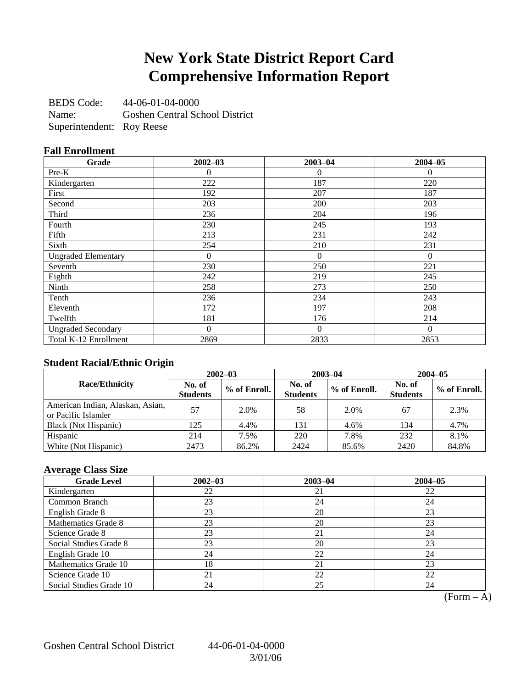## **New York State District Report Card Comprehensive Information Report**

BEDS Code: 44-06-01-04-0000 Name: Goshen Central School District Superintendent: Roy Reese

### **Fall Enrollment**

| Grade                      | $2002 - 03$ | $2003 - 04$  | $2004 - 05$ |
|----------------------------|-------------|--------------|-------------|
| Pre-K                      | 0           | $\theta$     | $\Omega$    |
| Kindergarten               | 222         | 187          | 220         |
| First                      | 192         | 207          | 187         |
| Second                     | 203         | 200          | 203         |
| Third                      | 236         | 204          | 196         |
| Fourth                     | 230         | 245          | 193         |
| Fifth                      | 213         | 231          | 242         |
| Sixth                      | 254         | 210          | 231         |
| <b>Ungraded Elementary</b> | $\Omega$    | $\mathbf{0}$ | $\Omega$    |
| Seventh                    | 230         | 250          | 221         |
| Eighth                     | 242         | 219          | 245         |
| Ninth                      | 258         | 273          | 250         |
| Tenth                      | 236         | 234          | 243         |
| Eleventh                   | 172         | 197          | 208         |
| Twelfth                    | 181         | 176          | 214         |
| <b>Ungraded Secondary</b>  | $\theta$    | $\Omega$     | $\Omega$    |
| Total K-12 Enrollment      | 2869        | 2833         | 2853        |

### **Student Racial/Ethnic Origin**

|                                                         | $2002 - 03$               |              |                           | $2003 - 04$  | $2004 - 05$               |              |  |
|---------------------------------------------------------|---------------------------|--------------|---------------------------|--------------|---------------------------|--------------|--|
| <b>Race/Ethnicity</b>                                   | No. of<br><b>Students</b> | % of Enroll. | No. of<br><b>Students</b> | % of Enroll. | No. of<br><b>Students</b> | % of Enroll. |  |
| American Indian, Alaskan, Asian,<br>or Pacific Islander | 57                        | 2.0%         | 58                        | 2.0%         | 67                        | 2.3%         |  |
| Black (Not Hispanic)                                    | 125                       | 4.4%         | 131                       | 4.6%         | 134                       | 4.7%         |  |
| Hispanic                                                | 214                       | 7.5%         | 220                       | 7.8%         | 232                       | 8.1%         |  |
| White (Not Hispanic)                                    | 2473                      | 86.2%        | 2424                      | 85.6%        | 2420                      | 84.8%        |  |

### **Average Class Size**

| <b>Grade Level</b>      | $2002 - 03$ | $2003 - 04$ | $2004 - 05$ |
|-------------------------|-------------|-------------|-------------|
| Kindergarten            | 22          | 21          | 22          |
| Common Branch           | 23          | 24          | 24          |
| English Grade 8         | 23          | 20          | 23          |
| Mathematics Grade 8     | 23          | 20          | 23          |
| Science Grade 8         | 23          | 21          | 24          |
| Social Studies Grade 8  | 23          | 20          | 23          |
| English Grade 10        | 24          | 22          | 24          |
| Mathematics Grade 10    | 18          | 21          | 23          |
| Science Grade 10        |             | 22          | 22          |
| Social Studies Grade 10 | 24          | 25          | 24          |

 $(Form - A)$ 

Goshen Central School District 44-06-01-04-0000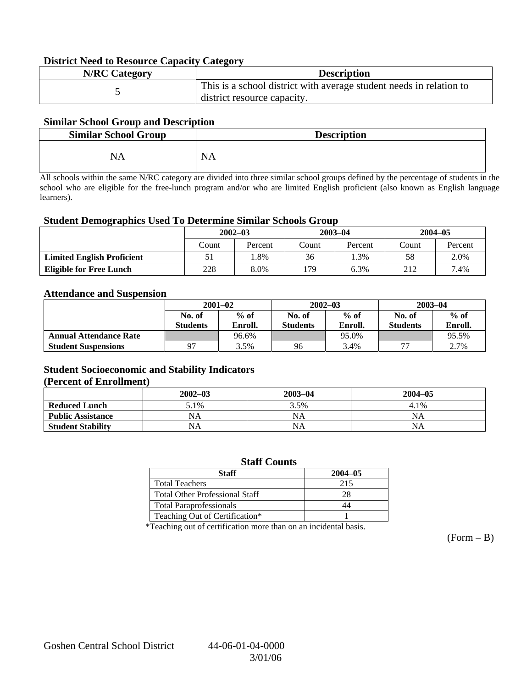### **District Need to Resource Capacity Category**

| <b>N/RC Category</b> | <b>Description</b>                                                                                 |
|----------------------|----------------------------------------------------------------------------------------------------|
|                      | This is a school district with average student needs in relation to<br>district resource capacity. |

### **Similar School Group and Description**

| <b>Similar School Group</b> | <b>Description</b> |
|-----------------------------|--------------------|
| NA                          | <b>NA</b>          |

All schools within the same N/RC category are divided into three similar school groups defined by the percentage of students in the school who are eligible for the free-lunch program and/or who are limited English proficient (also known as English language learners).

#### **Student Demographics Used To Determine Similar Schools Group**

|                                   | $2002 - 03$ |         |         | $2003 - 04$ | $2004 - 05$ |         |  |
|-----------------------------------|-------------|---------|---------|-------------|-------------|---------|--|
|                                   | Count       | Percent |         | Percent     | Count       | Percent |  |
| <b>Limited English Proficient</b> | 51          | . .8%   | 36      | .3%         | 58          | 2.0%    |  |
| <b>Eligible for Free Lunch</b>    | 228         | 8.0%    | $179 -$ | 6.3%        | 212         | 7.4%    |  |

#### **Attendance and Suspension**

|                               | $2001 - 02$      |         |                  | $2002 - 03$ | $2003 - 04$     |         |
|-------------------------------|------------------|---------|------------------|-------------|-----------------|---------|
|                               | $%$ of<br>No. of |         | $%$ of<br>No. of |             | No. of          | $%$ of  |
|                               | Students         | Enroll. | <b>Students</b>  | Enroll.     | <b>Students</b> | Enroll. |
| <b>Annual Attendance Rate</b> |                  | 96.6%   |                  | 95.0%       |                 | 95.5%   |
| <b>Student Suspensions</b>    | Q <sub>7</sub>   | 3.5%    | 96               | 3.4%        | חח              | 2.7%    |

### **Student Socioeconomic and Stability Indicators (Percent of Enrollment)**

|                          | $2002 - 03$ | $2003 - 04$ | $2004 - 05$ |
|--------------------------|-------------|-------------|-------------|
| <b>Reduced Lunch</b>     | 5.1%        | 3.5%        | 4.1%        |
| <b>Public Assistance</b> | NA          | NA          | NA          |
| <b>Student Stability</b> | NA          | <b>NA</b>   | NA          |

#### **Staff Counts**

| Staff                                 | $2004 - 05$ |
|---------------------------------------|-------------|
| <b>Total Teachers</b>                 | 215         |
| <b>Total Other Professional Staff</b> | 28          |
| <b>Total Paraprofessionals</b>        |             |
| Teaching Out of Certification*        |             |

\*Teaching out of certification more than on an incidental basis.

 $(Form - B)$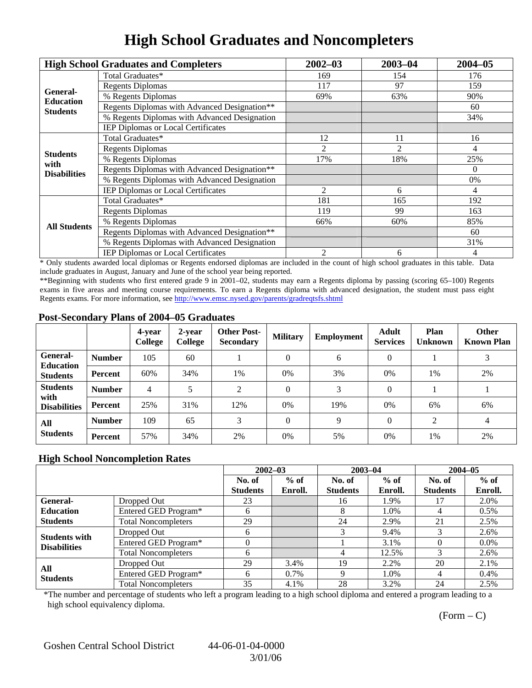# **High School Graduates and Noncompleters**

|                         | <b>High School Graduates and Completers</b>  | $2002 - 03$                                                                      | $2003 - 04$ | $2004 - 05$ |
|-------------------------|----------------------------------------------|----------------------------------------------------------------------------------|-------------|-------------|
|                         | Total Graduates*                             | 169                                                                              | 154         | 176         |
| General-                | <b>Regents Diplomas</b>                      | 117                                                                              | 97          | 159         |
| <b>Education</b>        | % Regents Diplomas                           | 69%                                                                              | 63%         | 90%         |
| <b>Students</b>         | Regents Diplomas with Advanced Designation** |                                                                                  |             | 60          |
|                         | % Regents Diplomas with Advanced Designation |                                                                                  |             | 34%         |
|                         | <b>IEP Diplomas or Local Certificates</b>    |                                                                                  |             |             |
|                         | Total Graduates*                             | 12                                                                               | 11          | 16          |
|                         | <b>Regents Diplomas</b>                      | 2                                                                                | 2           | 4           |
| <b>Students</b><br>with | % Regents Diplomas                           | 17%                                                                              | 18%         | 25%         |
| <b>Disabilities</b>     | Regents Diplomas with Advanced Designation** |                                                                                  |             | $\Omega$    |
|                         | % Regents Diplomas with Advanced Designation | 2<br>6<br>4<br>181<br>165<br>99<br>119<br>60%<br>66%<br>$\overline{c}$<br>6<br>4 | 0%          |             |
|                         | IEP Diplomas or Local Certificates           |                                                                                  |             |             |
|                         | Total Graduates*                             |                                                                                  |             | 192         |
|                         | <b>Regents Diplomas</b>                      |                                                                                  |             | 163         |
| <b>All Students</b>     | % Regents Diplomas                           |                                                                                  |             | 85%         |
|                         | Regents Diplomas with Advanced Designation** |                                                                                  |             | 60          |
|                         | % Regents Diplomas with Advanced Designation |                                                                                  |             | 31%         |
|                         | IEP Diplomas or Local Certificates           |                                                                                  |             |             |

\* Only students awarded local diplomas or Regents endorsed diplomas are included in the count of high school graduates in this table. Data include graduates in August, January and June of the school year being reported.

\*\*Beginning with students who first entered grade 9 in 2001–02, students may earn a Regents diploma by passing (scoring 65–100) Regents exams in five areas and meeting course requirements. To earn a Regents diploma with advanced designation, the student must pass eight Regents exams. For more information, see http://www.emsc.nysed.gov/parents/gradreqtsfs.shtml

### **Post-Secondary Plans of 2004–05 Graduates**

|                                                |               | 4-vear<br>College | 2-year<br>College | <b>Other Post-</b><br><b>Secondary</b> | <b>Military</b> | Employment | <b>Adult</b><br><b>Services</b> | Plan<br><b>Unknown</b> | <b>Other</b><br><b>Known Plan</b> |
|------------------------------------------------|---------------|-------------------|-------------------|----------------------------------------|-----------------|------------|---------------------------------|------------------------|-----------------------------------|
| General-<br><b>Education</b>                   | <b>Number</b> | 105               | 60                |                                        | $\theta$        | 6          | $\Omega$                        |                        | 3                                 |
| <b>Students</b>                                | Percent       | 60%               | 34%               | 1%                                     | $0\%$           | 3%         | 0%                              | 1%                     | 2%                                |
| <b>Students</b><br>with<br><b>Disabilities</b> | <b>Number</b> | 4                 |                   | 2                                      | $\Omega$        | 3          | $\Omega$                        |                        |                                   |
|                                                | Percent       | 25%               | 31%               | 12%                                    | $0\%$           | 19%        | $0\%$                           | 6%                     | 6%                                |
| All<br><b>Students</b>                         | <b>Number</b> | 109               | 65                | 3                                      | $\theta$        | 9          | $\Omega$                        | 2                      | 4                                 |
|                                                | Percent       | 57%               | 34%               | 2%                                     | 0%              | 5%         | 0%                              | 1%                     | 2%                                |

### **High School Noncompletion Rates**

|                                             |                            | $2002 - 03$     |         | $2003 - 04$     |         | $2004 - 05$     |         |
|---------------------------------------------|----------------------------|-----------------|---------|-----------------|---------|-----------------|---------|
|                                             |                            | No. of          | $%$ of  | No. of          | $%$ of  | No. of          | $%$ of  |
|                                             |                            | <b>Students</b> | Enroll. | <b>Students</b> | Enroll. | <b>Students</b> | Enroll. |
| <b>General-</b>                             | Dropped Out                | 23              |         | 16              | 1.9%    | 17              | 2.0%    |
| <b>Education</b>                            | Entered GED Program*       | <sub>b</sub>    |         | 8               | 1.0%    | 4               | $0.5\%$ |
| <b>Students</b>                             | <b>Total Noncompleters</b> | 29              |         | 24              | 2.9%    | 21              | 2.5%    |
|                                             | Dropped Out                | h               |         | 3               | 9.4%    |                 | 2.6%    |
| <b>Students with</b><br><b>Disabilities</b> | Entered GED Program*       |                 |         |                 | 3.1%    |                 | $0.0\%$ |
|                                             | <b>Total Noncompleters</b> | <sub>(</sub>    |         |                 | 12.5%   |                 | 2.6%    |
| All<br><b>Students</b>                      | Dropped Out                | 29              | 3.4%    | 19              | 2.2%    | 20              | 2.1%    |
|                                             | Entered GED Program*       | 6               | $0.7\%$ | Q               | 1.0%    | 4               | $0.4\%$ |
|                                             | <b>Total Noncompleters</b> | 35              | 4.1%    | 28              | 3.2%    | 24              | 2.5%    |

\*The number and percentage of students who left a program leading to a high school diploma and entered a program leading to a high school equivalency diploma.

 $(Form - C)$ 

Goshen Central School District 44-06-01-04-0000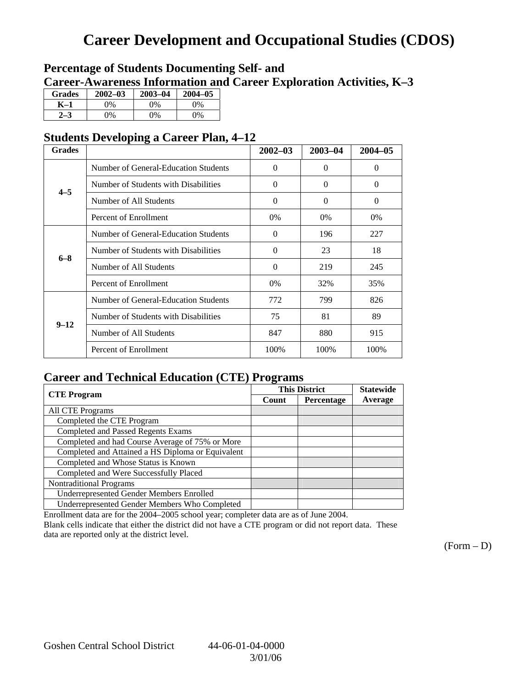## **Career Development and Occupational Studies (CDOS)**

## **Percentage of Students Documenting Self- and Career-Awareness Information and Career Exploration Activities, K–3**

| <b>Grades</b> | $2002 - 03$ | $2003 - 04$ | $2004 - 05$ |
|---------------|-------------|-------------|-------------|
| K–1           | 9%          | $0\%$       | 0%          |
| $2 - 3$       | 9%          | 0%          | 0%          |

## **Students Developing a Career Plan, 4–12**

| <b>Grades</b> |                                      | $2002 - 03$ | $2003 - 04$ | $2004 - 05$ |
|---------------|--------------------------------------|-------------|-------------|-------------|
|               | Number of General-Education Students | $\Omega$    | $\Omega$    | $\Omega$    |
| $4 - 5$       | Number of Students with Disabilities | $\Omega$    | $\Omega$    | $\Omega$    |
|               | Number of All Students               | $\Omega$    | $\Omega$    | $\Omega$    |
|               | Percent of Enrollment                | $0\%$       | $0\%$       | $0\%$       |
|               | Number of General-Education Students | $\Omega$    | 196         | 227         |
| $6 - 8$       | Number of Students with Disabilities | $\Omega$    | 23          | 18          |
|               | Number of All Students               | $\Omega$    | 219         | 245         |
|               | Percent of Enrollment                | $0\%$       | 32%         | 35%         |
|               | Number of General-Education Students | 772         | 799         | 826         |
| $9 - 12$      | Number of Students with Disabilities | 75          | 81          | 89          |
|               | Number of All Students               | 847         | 880         | 915         |
|               | Percent of Enrollment                | 100%        | 100%        | 100%        |

## **Career and Technical Education (CTE) Programs**

|                                                   |       | <b>This District</b> | <b>Statewide</b> |
|---------------------------------------------------|-------|----------------------|------------------|
| <b>CTE</b> Program                                | Count | Percentage           | Average          |
| <b>All CTE Programs</b>                           |       |                      |                  |
| Completed the CTE Program                         |       |                      |                  |
| <b>Completed and Passed Regents Exams</b>         |       |                      |                  |
| Completed and had Course Average of 75% or More   |       |                      |                  |
| Completed and Attained a HS Diploma or Equivalent |       |                      |                  |
| Completed and Whose Status is Known               |       |                      |                  |
| Completed and Were Successfully Placed            |       |                      |                  |
| <b>Nontraditional Programs</b>                    |       |                      |                  |
| <b>Underrepresented Gender Members Enrolled</b>   |       |                      |                  |
| Underrepresented Gender Members Who Completed     |       |                      |                  |

Enrollment data are for the 2004–2005 school year; completer data are as of June 2004.

Blank cells indicate that either the district did not have a CTE program or did not report data. These data are reported only at the district level.

 $(Form - D)$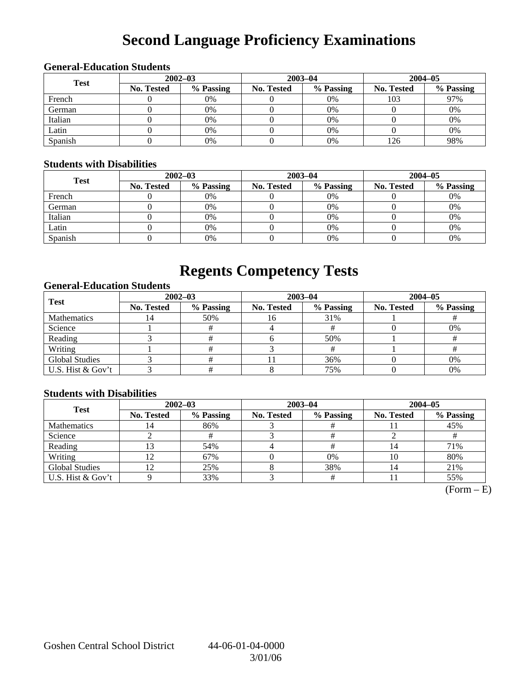# **Second Language Proficiency Examinations**

## **General-Education Students**

| <b>Test</b> | $2002 - 03$       |           |                   | $2003 - 04$ | $2004 - 05$       |           |  |
|-------------|-------------------|-----------|-------------------|-------------|-------------------|-----------|--|
|             | <b>No. Tested</b> | % Passing | <b>No. Tested</b> | % Passing   | <b>No. Tested</b> | % Passing |  |
| French      |                   | 0%        |                   | $0\%$       | 103               | 97%       |  |
| German      |                   | 0%        |                   | $0\%$       |                   | 0%        |  |
| Italian     |                   | 0%        |                   | 0%          |                   | 0%        |  |
| Latin       |                   | 0%        |                   | $0\%$       |                   | 0%        |  |
| Spanish     |                   | 0%        |                   | 0%          | .26               | 98%       |  |

### **Students with Disabilities**

| <b>Test</b> | $2002 - 03$       |           |            | $2003 - 04$ | $2004 - 05$       |           |  |
|-------------|-------------------|-----------|------------|-------------|-------------------|-----------|--|
|             | <b>No. Tested</b> | % Passing | No. Tested | % Passing   | <b>No. Tested</b> | % Passing |  |
| French      |                   | 0%        |            | $0\%$       |                   | 0%        |  |
| German      |                   | 0%        |            | $0\%$       |                   | 0%        |  |
| Italian     |                   | 0%        |            | $0\%$       |                   | 0%        |  |
| Latin       |                   | 0%        |            | $0\%$       |                   | 0%        |  |
| Spanish     |                   | 0%        |            | 0%          |                   | 0%        |  |

## **Regents Competency Tests**

### **General-Education Students**

| <b>Test</b>           |                   | $2002 - 03$ |            | $2003 - 04$ | $2004 - 05$       |           |  |
|-----------------------|-------------------|-------------|------------|-------------|-------------------|-----------|--|
|                       | <b>No. Tested</b> | % Passing   | No. Tested | % Passing   | <b>No. Tested</b> | % Passing |  |
| <b>Mathematics</b>    | 14                | 50%         | 16         | 31%         |                   |           |  |
| Science               |                   |             |            |             |                   | 0%        |  |
| Reading               |                   |             |            | 50%         |                   |           |  |
| Writing               |                   |             |            |             |                   |           |  |
| <b>Global Studies</b> |                   |             |            | 36%         |                   | 0%        |  |
| U.S. Hist & Gov't     |                   |             |            | 75%         |                   | 0%        |  |

### **Students with Disabilities**

| <b>Test</b>           | $2002 - 03$       |           | $2003 - 04$ |           | $2004 - 05$ |           |  |
|-----------------------|-------------------|-----------|-------------|-----------|-------------|-----------|--|
|                       | <b>No. Tested</b> | % Passing | No. Tested  | % Passing | No. Tested  | % Passing |  |
| <b>Mathematics</b>    | 4                 | 86%       |             |           |             | 45%       |  |
| Science               |                   |           |             |           |             |           |  |
| Reading               |                   | 54%       |             |           |             | 71%       |  |
| Writing               |                   | 67%       |             | 0%        | 10          | 80%       |  |
| <b>Global Studies</b> |                   | 25%       |             | 38%       |             | 21%       |  |
| U.S. Hist & Gov't     |                   | 33%       |             |           |             | 55%       |  |

 $\overline{\text{(Form - E)}}$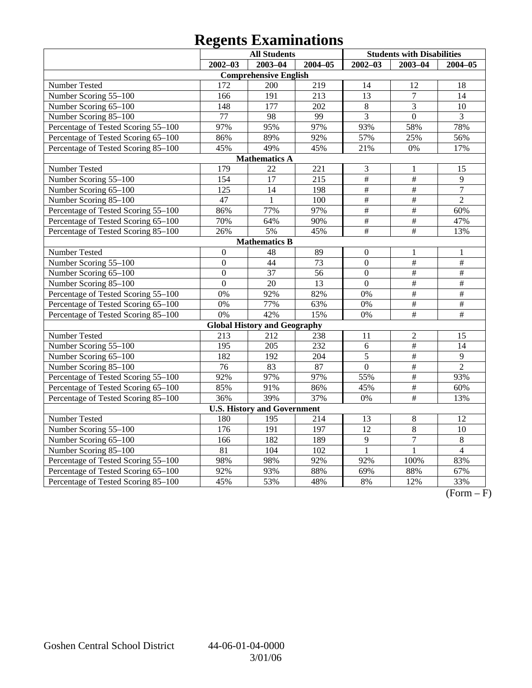# **Regents Examinations**

|                                     | <b>All Students</b> |                                     |                 | <b>Students with Disabilities</b> |                 |                 |
|-------------------------------------|---------------------|-------------------------------------|-----------------|-----------------------------------|-----------------|-----------------|
|                                     | $2002 - 03$         | $2003 - 04$                         | $2004 - 05$     | $2002 - 03$                       | $2003 - 04$     | $2004 - 05$     |
|                                     |                     | <b>Comprehensive English</b>        |                 |                                   |                 |                 |
| Number Tested                       | 172                 | 200                                 | 219             | 14                                | 12              | 18              |
| Number Scoring 55-100               | 166                 | 191                                 | 213             | $\overline{13}$                   | $\overline{7}$  | 14              |
| Number Scoring 65-100               | 148                 | 177                                 | 202             | $\overline{8}$                    | 3               | 10              |
| Number Scoring 85-100               | 77                  | 98                                  | 99              | $\overline{3}$                    | $\overline{0}$  | 3               |
| Percentage of Tested Scoring 55-100 | 97%                 | 95%                                 | 97%             | 93%                               | 58%             | 78%             |
| Percentage of Tested Scoring 65-100 | 86%                 | 89%                                 | 92%             | 57%                               | 25%             | 56%             |
| Percentage of Tested Scoring 85-100 | 45%                 | 49%                                 | 45%             | 21%                               | 0%              | 17%             |
|                                     |                     | <b>Mathematics A</b>                |                 |                                   |                 |                 |
| Number Tested                       | 179                 | 22                                  | 221             | 3                                 | 1               | 15              |
| Number Scoring 55-100               | 154                 | 17                                  | 215             | $\overline{\#}$                   | $\overline{\#}$ | 9               |
| Number Scoring 65-100               | $\overline{125}$    | $\overline{14}$                     | 198             | $\overline{\#}$                   | $\overline{\#}$ | $\overline{7}$  |
| Number Scoring 85-100               | 47                  | $\mathbf{1}$                        | 100             | #                                 | $\overline{\#}$ | $\overline{2}$  |
| Percentage of Tested Scoring 55-100 | 86%                 | 77%                                 | 97%             | $\frac{1}{2}$                     | $\frac{1}{2}$   | 60%             |
| Percentage of Tested Scoring 65-100 | 70%                 | 64%                                 | 90%             | $\#$                              | $\#$            | 47%             |
| Percentage of Tested Scoring 85-100 | 26%                 | 5%                                  | 45%             | $\overline{\#}$                   | $\overline{\#}$ | 13%             |
|                                     |                     | <b>Mathematics B</b>                |                 |                                   |                 |                 |
| Number Tested                       | $\boldsymbol{0}$    | 48                                  | 89              | $\theta$                          | 1               | 1               |
| Number Scoring 55-100               | $\overline{0}$      | 44                                  | 73              | $\overline{0}$                    | $\frac{1}{2}$   | $\#$            |
| Number Scoring 65-100               | $\mathbf{0}$        | 37                                  | 56              | $\overline{0}$                    | $\#$            | $\#$            |
| Number Scoring 85-100               | $\overline{0}$      | 20                                  | $\overline{13}$ | $\overline{0}$                    | $\frac{1}{2}$   | $\frac{1}{2}$   |
| Percentage of Tested Scoring 55-100 | 0%                  | 92%                                 | 82%             | 0%                                | $\overline{\#}$ | $\overline{\#}$ |
| Percentage of Tested Scoring 65-100 | 0%                  | 77%                                 | 63%             | 0%                                | $\overline{\#}$ | $\frac{1}{2}$   |
| Percentage of Tested Scoring 85-100 | 0%                  | 42%                                 | 15%             | 0%                                | $\overline{\#}$ | $\overline{\#}$ |
|                                     |                     | <b>Global History and Geography</b> |                 |                                   |                 |                 |
| Number Tested                       | 213                 | 212                                 | 238             | 11                                | $\overline{c}$  | 15              |
| Number Scoring 55-100               | 195                 | 205                                 | 232             | 6                                 | $\overline{\#}$ | 14              |
| Number Scoring 65-100               | 182                 | 192                                 | 204             | 5                                 | $\frac{1}{2}$   | 9               |
| Number Scoring 85-100               | $\overline{76}$     | 83                                  | 87              | $\overline{0}$                    | $\overline{\#}$ | $\overline{2}$  |
| Percentage of Tested Scoring 55-100 | 92%                 | 97%                                 | 97%             | 55%                               | $\#$            | 93%             |
| Percentage of Tested Scoring 65-100 | 85%                 | 91%                                 | 86%             | 45%                               | $\#$            | 60%             |
| Percentage of Tested Scoring 85-100 | 36%                 | 39%                                 | 37%             | 0%                                | $\#$            | 13%             |
|                                     |                     | <b>U.S. History and Government</b>  |                 |                                   |                 |                 |
| Number Tested                       | 180                 | 195                                 | 214             | 13                                | $8\,$           | 12              |
| Number Scoring 55-100               | 176                 | 191                                 | 197             | 12                                | 8               | 10              |
| Number Scoring 65-100               | 166                 | 182                                 | 189             | $\overline{9}$                    | $\overline{7}$  | $\,8\,$         |
| Number Scoring 85-100               | $\overline{81}$     | 104                                 | 102             | $\mathbf{1}$                      | $\mathbf{1}$    | $\overline{4}$  |
| Percentage of Tested Scoring 55-100 | 98%                 | 98%                                 | 92%             | 92%                               | 100%            | 83%             |
| Percentage of Tested Scoring 65-100 | 92%                 | 93%                                 | 88%             | 69%                               | 88%             | 67%             |
| Percentage of Tested Scoring 85-100 | 45%                 | 53%                                 | 48%             | 8%                                | 12%             | 33%             |

 $\overline{(Form - F)}$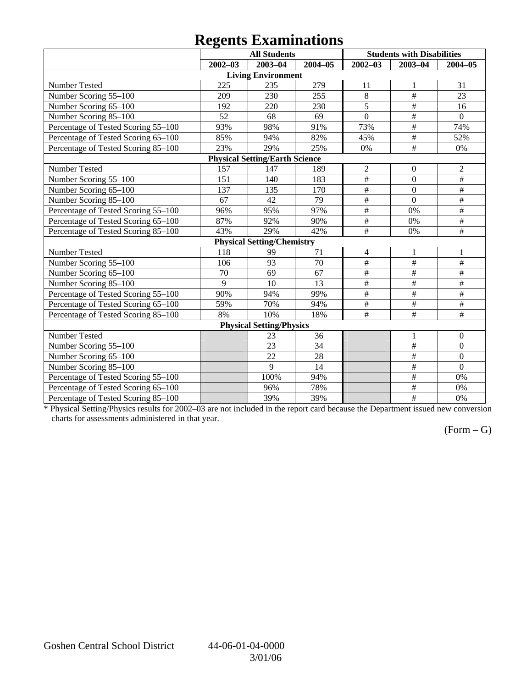## **Regents Examinations**

|                                     | o           | <b>All Students</b>                   |                 |                 | <b>Students with Disabilities</b> |                           |
|-------------------------------------|-------------|---------------------------------------|-----------------|-----------------|-----------------------------------|---------------------------|
|                                     | $2002 - 03$ | $2003 - 04$                           | 2004-05         | $2002 - 03$     | $2003 - 04$                       | $2004 - 05$               |
|                                     |             | <b>Living Environment</b>             |                 |                 |                                   |                           |
| Number Tested                       | 225         | 235                                   | 279             | 11              | 1                                 | 31                        |
| Number Scoring 55-100               | 209         | 230                                   | 255             | 8               | #                                 | 23                        |
| Number Scoring 65-100               | 192         | 220                                   | 230             | $\overline{5}$  | $\#$                              | 16                        |
| Number Scoring 85-100               | 52          | 68                                    | 69              | $\overline{0}$  | $\#$                              | $\mathbf{0}$              |
| Percentage of Tested Scoring 55-100 | 93%         | 98%                                   | 91%             | 73%             | $\overline{\overline{H}}$         | 74%                       |
| Percentage of Tested Scoring 65-100 | 85%         | 94%                                   | 82%             | 45%             | $\overline{\#}$                   | 52%                       |
| Percentage of Tested Scoring 85-100 | 23%         | 29%                                   | 25%             | 0%              | $\#$                              | 0%                        |
|                                     |             | <b>Physical Setting/Earth Science</b> |                 |                 |                                   |                           |
| Number Tested                       | 157         | 147                                   | 189             | $\overline{2}$  | $\theta$                          | $\overline{2}$            |
| Number Scoring 55-100               | 151         | 140                                   | 183             | $\#$            | $\overline{0}$                    | $\#$                      |
| Number Scoring 65-100               | 137         | 135                                   | 170             | $\#$            | $\overline{0}$                    | $\#$                      |
| Number Scoring 85-100               | 67          | 42                                    | $\overline{79}$ | $\#$            | $\overline{0}$                    | #                         |
| Percentage of Tested Scoring 55-100 | 96%         | 95%                                   | 97%             | $\overline{\#}$ | 0%                                | $\overline{\#}$           |
| Percentage of Tested Scoring 65-100 | 87%         | 92%                                   | 90%             | $\overline{\#}$ | 0%                                | $\overline{\#}$           |
| Percentage of Tested Scoring 85-100 | 43%         | 29%                                   | 42%             | $\overline{\#}$ | 0%                                | #                         |
|                                     |             | <b>Physical Setting/Chemistry</b>     |                 |                 |                                   |                           |
| Number Tested                       | 118         | 99                                    | 71              | $\overline{4}$  | $\mathbf{1}$                      | $\mathbf{1}$              |
| Number Scoring 55-100               | 106         | $\overline{93}$                       | 70              | #               | #                                 | #                         |
| Number Scoring 65-100               | 70          | 69                                    | 67              | $\overline{\#}$ | $\overline{\#}$                   | $\#$                      |
| Number Scoring 85-100               | 9           | 10                                    | 13              | #               | $\overline{\#}$                   | $\overline{\#}$           |
| Percentage of Tested Scoring 55-100 | 90%         | 94%                                   | 99%             | $\#$            | $\overline{\ddot{}}$              | $\overline{\overline{H}}$ |
| Percentage of Tested Scoring 65-100 | 59%         | 70%                                   | 94%             | $\#$            | $\#$                              | $\#$                      |
| Percentage of Tested Scoring 85-100 | 8%          | 10%                                   | 18%             | $\#$            | $\#$                              | $\#$                      |
|                                     |             | <b>Physical Setting/Physics</b>       |                 |                 |                                   |                           |
| Number Tested                       |             | 23                                    | 36              |                 | 1                                 | $\boldsymbol{0}$          |
| Number Scoring 55-100               |             | 23                                    | 34              |                 | $\#$                              | $\boldsymbol{0}$          |
| Number Scoring 65-100               |             | 22                                    | 28              |                 | $\#$                              | $\boldsymbol{0}$          |
| Number Scoring 85-100               |             | 9                                     | 14              |                 | $\#$                              | $\overline{0}$            |
| Percentage of Tested Scoring 55-100 |             | 100%                                  | 94%             |                 | $\overline{\#}$                   | 0%                        |
| Percentage of Tested Scoring 65-100 |             | 96%                                   | 78%             |                 | $\overline{\ddot{}}$              | 0%                        |
| Percentage of Tested Scoring 85-100 |             | 39%                                   | 39%             |                 | $\overline{\#}$                   | 0%                        |

\* Physical Setting/Physics results for 2002–03 are not included in the report card because the Department issued new conversion charts for assessments administered in that year.

### $(Form - G)$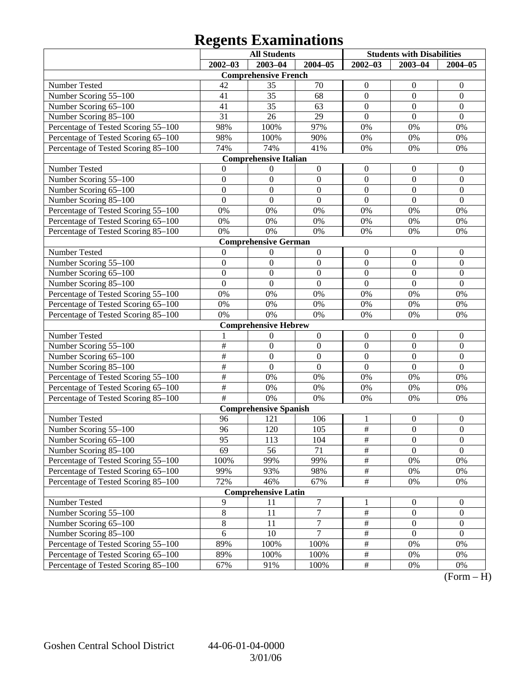## **Regents Examinations**

|                                     | <b>All Students</b> |                              | <b>Students with Disabilities</b> |                  |                  |                  |
|-------------------------------------|---------------------|------------------------------|-----------------------------------|------------------|------------------|------------------|
|                                     | $2002 - 03$         | 2003-04                      | $2004 - 05$                       | $2002 - 03$      | $2003 - 04$      | $2004 - 05$      |
|                                     |                     | <b>Comprehensive French</b>  |                                   |                  |                  |                  |
| Number Tested                       | 42                  | 35                           | 70                                | $\boldsymbol{0}$ | $\theta$         | $\theta$         |
| Number Scoring 55-100               | 41                  | 35                           | 68                                | $\boldsymbol{0}$ | $\mathbf{0}$     | $\boldsymbol{0}$ |
| Number Scoring 65-100               | 41                  | 35                           | 63                                | $\mathbf{0}$     | $\boldsymbol{0}$ | $\mathbf{0}$     |
| Number Scoring 85-100               | 31                  | 26                           | 29                                | $\overline{0}$   | $\overline{0}$   | $\overline{0}$   |
| Percentage of Tested Scoring 55-100 | 98%                 | 100%                         | 97%                               | 0%               | 0%               | 0%               |
| Percentage of Tested Scoring 65-100 | 98%                 | 100%                         | 90%                               | 0%               | 0%               | 0%               |
| Percentage of Tested Scoring 85-100 | 74%                 | 74%                          | 41%                               | 0%               | 0%               | 0%               |
|                                     |                     | <b>Comprehensive Italian</b> |                                   |                  |                  |                  |
| Number Tested                       | 0                   | $\boldsymbol{0}$             | $\boldsymbol{0}$                  | $\boldsymbol{0}$ | $\boldsymbol{0}$ | $\overline{0}$   |
| Number Scoring 55-100               | $\boldsymbol{0}$    | $\mathbf{0}$                 | $\boldsymbol{0}$                  | $\mathbf{0}$     | $\mathbf{0}$     | $\boldsymbol{0}$ |
| Number Scoring 65-100               | $\overline{0}$      | $\mathbf{0}$                 | $\mathbf{0}$                      | $\mathbf{0}$     | $\boldsymbol{0}$ | $\boldsymbol{0}$ |
| Number Scoring 85-100               | $\overline{0}$      | $\boldsymbol{0}$             | $\overline{0}$                    | $\overline{0}$   | $\overline{0}$   | $\overline{0}$   |
| Percentage of Tested Scoring 55-100 | 0%                  | 0%                           | 0%                                | 0%               | 0%               | 0%               |
| Percentage of Tested Scoring 65-100 | 0%                  | 0%                           | $0\%$                             | 0%               | 0%               | 0%               |
| Percentage of Tested Scoring 85-100 | 0%                  | 0%                           | 0%                                | 0%               | 0%               | 0%               |
|                                     |                     | <b>Comprehensive German</b>  |                                   |                  |                  |                  |
| Number Tested                       | $\boldsymbol{0}$    | $\boldsymbol{0}$             | $\boldsymbol{0}$                  | $\boldsymbol{0}$ | $\boldsymbol{0}$ | $\mathbf{0}$     |
| Number Scoring 55-100               | $\boldsymbol{0}$    | $\mathbf{0}$                 | $\boldsymbol{0}$                  | $\mathbf{0}$     | $\mathbf{0}$     | $\boldsymbol{0}$ |
| Number Scoring 65-100               | $\overline{0}$      | $\mathbf{0}$                 | $\mathbf{0}$                      | $\mathbf{0}$     | $\boldsymbol{0}$ | $\mathbf{0}$     |
| Number Scoring 85-100               | $\overline{0}$      | $\overline{0}$               | $\overline{0}$                    | $\overline{0}$   | $\overline{0}$   | $\overline{0}$   |
| Percentage of Tested Scoring 55-100 | 0%                  | 0%                           | 0%                                | 0%               | 0%               | 0%               |
| Percentage of Tested Scoring 65-100 | 0%                  | 0%                           | 0%                                | 0%               | 0%               | 0%               |
| Percentage of Tested Scoring 85-100 | 0%                  | 0%                           | 0%                                | 0%               | 0%               | 0%               |
|                                     |                     | <b>Comprehensive Hebrew</b>  |                                   |                  |                  |                  |
| Number Tested                       | 1                   | $\boldsymbol{0}$             | $\boldsymbol{0}$                  | $\boldsymbol{0}$ | $\boldsymbol{0}$ | $\mathbf{0}$     |
| Number Scoring 55-100               | $\overline{\#}$     | $\boldsymbol{0}$             | $\boldsymbol{0}$                  | $\mathbf{0}$     | $\overline{0}$   | $\boldsymbol{0}$ |
| Number Scoring 65-100               | #                   | $\mathbf{0}$                 | $\mathbf{0}$                      | $\boldsymbol{0}$ | $\boldsymbol{0}$ | $\mathbf{0}$     |
| Number Scoring 85-100               | #                   | $\boldsymbol{0}$             | $\overline{0}$                    | $\overline{0}$   | $\overline{0}$   | $\mathbf{0}$     |
| Percentage of Tested Scoring 55-100 | #                   | 0%                           | 0%                                | 0%               | 0%               | 0%               |
| Percentage of Tested Scoring 65-100 | $\overline{\#}$     | 0%                           | $0\%$                             | 0%               | 0%               | 0%               |
| Percentage of Tested Scoring 85-100 | $\overline{+}$      | 0%                           | 0%                                | 0%               | 0%               | 0%               |
|                                     |                     | <b>Comprehensive Spanish</b> |                                   |                  |                  |                  |
| Number Tested                       | 96                  | 121                          | 106                               | 1                | $\boldsymbol{0}$ | $\boldsymbol{0}$ |
| Number Scoring 55-100               | 96                  | 120                          | 105                               | $\#$             | $\boldsymbol{0}$ | $\mathbf{0}$     |
| Number Scoring 65–100               | 95                  | 113                          | 104                               | $\#$             | $\boldsymbol{0}$ | $\boldsymbol{0}$ |
| Number Scoring 85-100               | 69                  | 56                           | 71                                | $\overline{\#}$  | $\theta$         | $\overline{0}$   |
| Percentage of Tested Scoring 55-100 | 100%                | 99%                          | 99%                               | $\frac{1}{2}$    | 0%               | 0%               |
| Percentage of Tested Scoring 65-100 | 99%                 | 93%                          | 98%                               | $\#$             | 0%               | $0\%$            |
| Percentage of Tested Scoring 85-100 | 72%                 | 46%                          | 67%                               | $\#$             | 0%               | 0%               |
|                                     |                     | <b>Comprehensive Latin</b>   |                                   |                  |                  |                  |
| Number Tested                       | 9                   | 11                           | $\boldsymbol{7}$                  | 1                | $\overline{0}$   | $\overline{0}$   |
| Number Scoring 55-100               | $\,8\,$             | 11                           | $\boldsymbol{7}$                  | $\#$             | $\boldsymbol{0}$ | $\boldsymbol{0}$ |
| Number Scoring 65-100               | $\overline{8}$      | 11                           | $\tau$                            | $\#$             | $\boldsymbol{0}$ | $\boldsymbol{0}$ |
| Number Scoring 85-100               | 6                   | 10                           | 7                                 | $\#$             | $\mathbf{0}$     | $\boldsymbol{0}$ |
| Percentage of Tested Scoring 55-100 | 89%                 | 100%                         | 100%                              | $\#$             | 0%               | 0%               |
| Percentage of Tested Scoring 65-100 | 89%                 | 100%                         | 100%                              | $\#$             | 0%               | 0%               |
| Percentage of Tested Scoring 85-100 | 67%                 | 91%                          | 100%                              | $\#$             | 0%               | 0%               |

 $(Form - H)$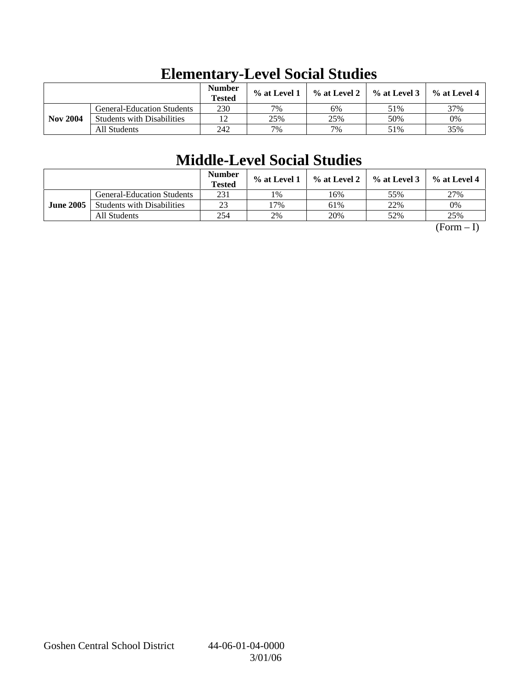|                 |                                   | <b>Number</b><br><b>Tested</b> | % at Level 1 | $\%$ at Level 2 | $%$ at Level 3 | $%$ at Level 4 |
|-----------------|-----------------------------------|--------------------------------|--------------|-----------------|----------------|----------------|
|                 | <b>General-Education Students</b> | 230                            | 7%           | 6%              | 51%            | 37%            |
| <b>Nov 2004</b> | <b>Students with Disabilities</b> | 12                             | 25%          | 25%             | 50%            | 0%             |
|                 | All Students                      | 242                            | 7%           | 7%              | 51%            | 35%            |

# **Elementary-Level Social Studies**

## **Middle-Level Social Studies**

|                  |                                   | <b>Number</b><br><b>Tested</b> | $\%$ at Level 1 | % at Level 2 | $%$ at Level 3 | $\%$ at Level 4 |
|------------------|-----------------------------------|--------------------------------|-----------------|--------------|----------------|-----------------|
|                  | <b>General-Education Students</b> | 231                            | 1%              | 16%          | 55%            | 27%             |
| <b>June 2005</b> | <b>Students with Disabilities</b> | 23                             | 7%              | 61%          | 22%            | 0%              |
|                  | All Students                      | 254                            | 2%              | 20%          | 52%            | 25%             |

 $(Form - I)$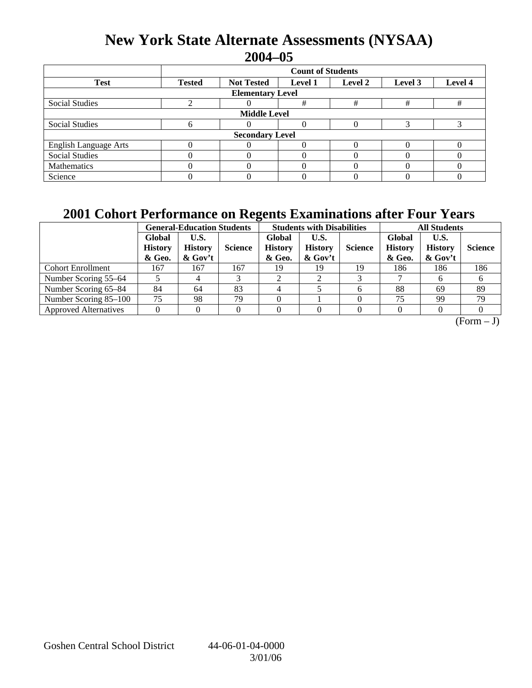## **New York State Alternate Assessments (NYSAA) 2004–05**

|                              | <b>Count of Students</b>                                                              |  |   |   |   |   |  |  |  |
|------------------------------|---------------------------------------------------------------------------------------|--|---|---|---|---|--|--|--|
| <b>Test</b>                  | Level 4<br><b>Tested</b><br><b>Not Tested</b><br><b>Level 1</b><br>Level 2<br>Level 3 |  |   |   |   |   |  |  |  |
| <b>Elementary Level</b>      |                                                                                       |  |   |   |   |   |  |  |  |
| <b>Social Studies</b>        |                                                                                       |  | # | # | # | # |  |  |  |
| <b>Middle Level</b>          |                                                                                       |  |   |   |   |   |  |  |  |
| <b>Social Studies</b>        | h                                                                                     |  |   |   |   |   |  |  |  |
| <b>Secondary Level</b>       |                                                                                       |  |   |   |   |   |  |  |  |
| <b>English Language Arts</b> |                                                                                       |  |   |   |   |   |  |  |  |
| <b>Social Studies</b>        |                                                                                       |  |   |   |   |   |  |  |  |
| Mathematics                  |                                                                                       |  |   |   |   |   |  |  |  |
| Science                      |                                                                                       |  |   |   |   |   |  |  |  |

## **2001 Cohort Performance on Regents Examinations after Four Years**

|                              | <b>General-Education Students</b>  |                                      |                |                                    | <b>Students with Disabilities</b>    |                | <b>All Students</b>                |                                   |                |
|------------------------------|------------------------------------|--------------------------------------|----------------|------------------------------------|--------------------------------------|----------------|------------------------------------|-----------------------------------|----------------|
|                              | Global<br><b>History</b><br>& Geo. | U.S.<br><b>History</b><br>$\&$ Gov't | <b>Science</b> | Global<br><b>History</b><br>& Geo. | U.S.<br><b>History</b><br>$\&$ Gov't | <b>Science</b> | Global<br><b>History</b><br>& Geo. | U.S.<br><b>History</b><br>& Gov't | <b>Science</b> |
| <b>Cohort Enrollment</b>     | 167                                | 167                                  | 167            | 19                                 | 19                                   | 19             | 186                                | 186                               | 186            |
| Number Scoring 55–64         |                                    |                                      |                |                                    |                                      |                |                                    |                                   |                |
| Number Scoring 65–84         | 84                                 | 64                                   | 83             |                                    |                                      |                | 88                                 | 69                                | 89             |
| Number Scoring 85–100        | 75                                 | 98                                   | 79             |                                    |                                      |                | 75                                 | 99                                | 79             |
| <b>Approved Alternatives</b> |                                    |                                      |                |                                    |                                      |                |                                    |                                   |                |

 $\overline{(Form - J)}$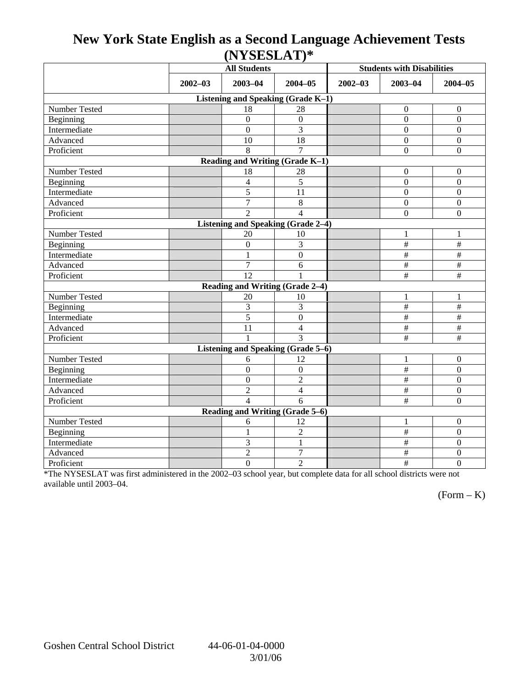## **New York State English as a Second Language Achievement Tests (NYSESLAT)\***

|                                           | <b>All Students</b> |                                 |                  | <b>Students with Disabilities</b> |                           |                           |  |  |  |
|-------------------------------------------|---------------------|---------------------------------|------------------|-----------------------------------|---------------------------|---------------------------|--|--|--|
|                                           | $2002 - 03$         | $2003 - 04$<br>$2004 - 05$      |                  | $2002 - 03$                       | $2003 - 04$               | $2004 - 05$               |  |  |  |
| Listening and Speaking (Grade K-1)        |                     |                                 |                  |                                   |                           |                           |  |  |  |
| Number Tested                             |                     | 18                              | 28               |                                   | $\mathbf{0}$              | $\boldsymbol{0}$          |  |  |  |
| Beginning                                 |                     | $\overline{0}$                  | $\mathbf{0}$     |                                   | $\theta$                  | $\boldsymbol{0}$          |  |  |  |
| Intermediate                              |                     | $\overline{0}$                  | $\overline{3}$   |                                   | $\Omega$                  | $\mathbf{0}$              |  |  |  |
| Advanced                                  |                     | 10                              | 18               |                                   | $\Omega$                  | $\boldsymbol{0}$          |  |  |  |
| Proficient                                |                     | 8                               | 7                |                                   | $\overline{0}$            | $\boldsymbol{0}$          |  |  |  |
| Reading and Writing (Grade K-1)           |                     |                                 |                  |                                   |                           |                           |  |  |  |
| Number Tested                             |                     | 18                              | 28               |                                   | $\Omega$                  | $\overline{0}$            |  |  |  |
| Beginning                                 |                     | 4                               | 5                |                                   | $\boldsymbol{0}$          | $\boldsymbol{0}$          |  |  |  |
| Intermediate                              |                     | 5                               | 11               |                                   | $\overline{0}$            | $\mathbf{0}$              |  |  |  |
| Advanced                                  |                     | $\overline{7}$                  | 8                |                                   | $\theta$                  | $\overline{0}$            |  |  |  |
| Proficient                                |                     | $\mathfrak{D}$                  | $\overline{4}$   |                                   | $\overline{0}$            | $\boldsymbol{0}$          |  |  |  |
| <b>Listening and Speaking (Grade 2-4)</b> |                     |                                 |                  |                                   |                           |                           |  |  |  |
| Number Tested                             |                     | 20                              | 10               |                                   | 1                         | 1                         |  |  |  |
| Beginning                                 |                     | $\boldsymbol{0}$                | 3                |                                   | $\#$                      | $\#$                      |  |  |  |
| Intermediate                              |                     | 1                               | $\boldsymbol{0}$ |                                   | $\#$                      | $\#$                      |  |  |  |
| Advanced                                  |                     | 7                               | 6                |                                   | $\#$                      | $\frac{1}{2}$             |  |  |  |
| Proficient                                |                     | 12                              |                  |                                   | #                         | $\overline{\overline{H}}$ |  |  |  |
|                                           |                     | Reading and Writing (Grade 2-4) |                  |                                   |                           |                           |  |  |  |
| Number Tested                             |                     | 20                              | 10               |                                   | 1                         | $\mathbf{1}$              |  |  |  |
| Beginning                                 |                     | 3                               | 3                |                                   | $\#$                      | $\#$                      |  |  |  |
| Intermediate                              |                     | $\overline{5}$                  | $\overline{0}$   |                                   | $\overline{\overline{H}}$ | $\overline{\#}$           |  |  |  |
| Advanced                                  |                     | 11                              | $\overline{4}$   |                                   | $\overline{+}$            | $\frac{1}{2}$             |  |  |  |
| Proficient                                |                     |                                 | $\overline{3}$   |                                   | #                         | $\#$                      |  |  |  |
| Listening and Speaking (Grade 5-6)        |                     |                                 |                  |                                   |                           |                           |  |  |  |
| Number Tested                             |                     | 6                               | 12               |                                   | 1                         | $\boldsymbol{0}$          |  |  |  |
| Beginning                                 |                     | $\overline{0}$                  | $\boldsymbol{0}$ |                                   | $\#$                      | $\boldsymbol{0}$          |  |  |  |
| Intermediate                              |                     | $\boldsymbol{0}$                | $\overline{2}$   |                                   | $\#$                      | $\boldsymbol{0}$          |  |  |  |
| Advanced                                  |                     | $\overline{2}$                  | $\overline{4}$   |                                   | $\#$                      | $\boldsymbol{0}$          |  |  |  |
| Proficient                                |                     | $\overline{\mathcal{A}}$        | 6                |                                   | $\overline{\#}$           | $\boldsymbol{0}$          |  |  |  |
| Reading and Writing (Grade 5–6)           |                     |                                 |                  |                                   |                           |                           |  |  |  |
| Number Tested                             |                     | 6                               | 12               |                                   | 1                         | $\overline{0}$            |  |  |  |
| Beginning                                 |                     | $\mathbf{1}$                    | $\overline{2}$   |                                   | $\#$                      | $\mathbf{0}$              |  |  |  |
| Intermediate                              |                     | 3                               | $\mathbf{1}$     |                                   | $\#$                      | $\boldsymbol{0}$          |  |  |  |
| Advanced                                  |                     | $\overline{c}$                  | $\overline{7}$   |                                   | $\#$                      | $\boldsymbol{0}$          |  |  |  |
| Proficient                                |                     | $\overline{0}$                  | $\overline{2}$   |                                   | #                         | $\overline{0}$            |  |  |  |

\*The NYSESLAT was first administered in the 2002–03 school year, but complete data for all school districts were not available until 2003–04.

 $(Form - K)$